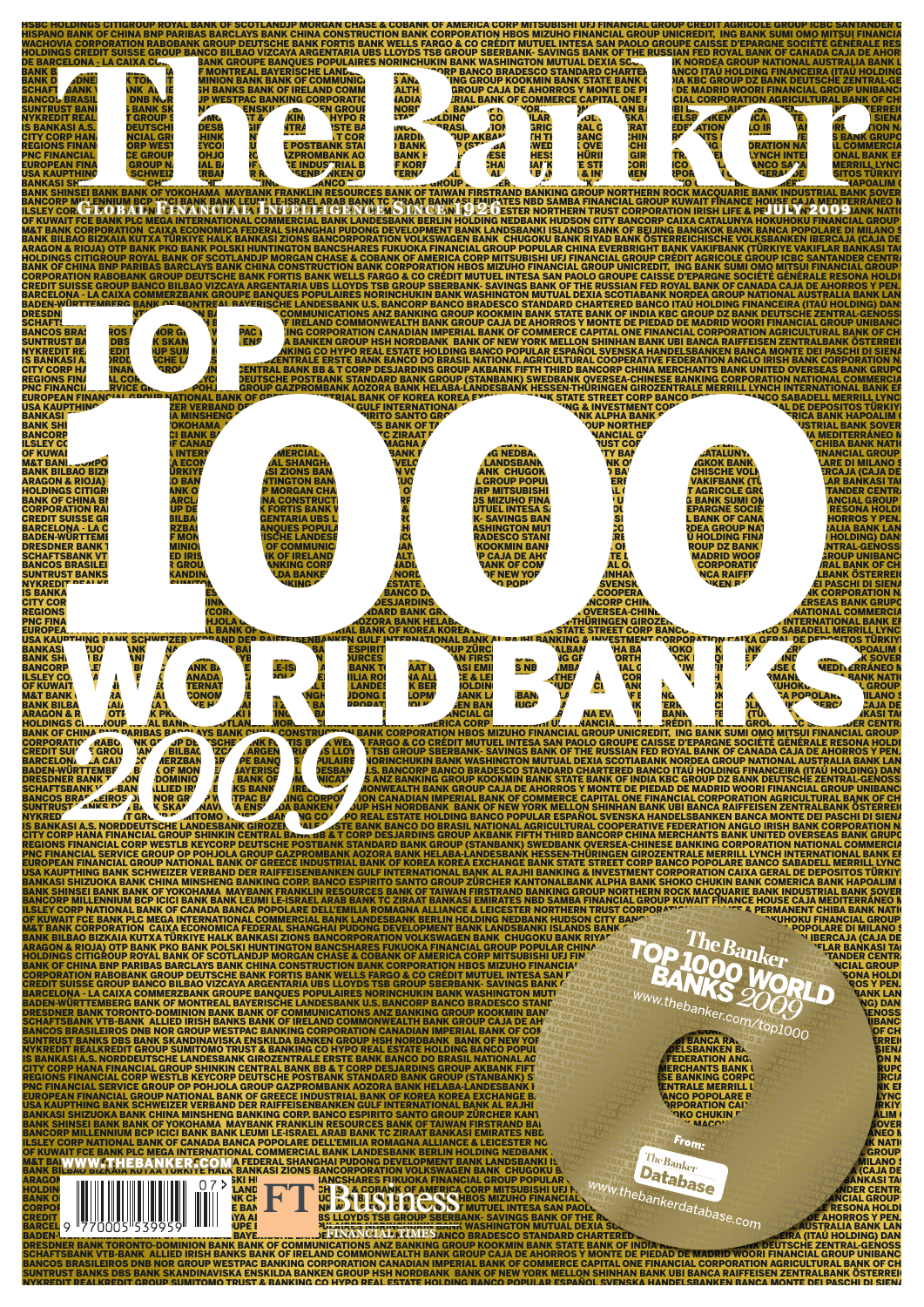